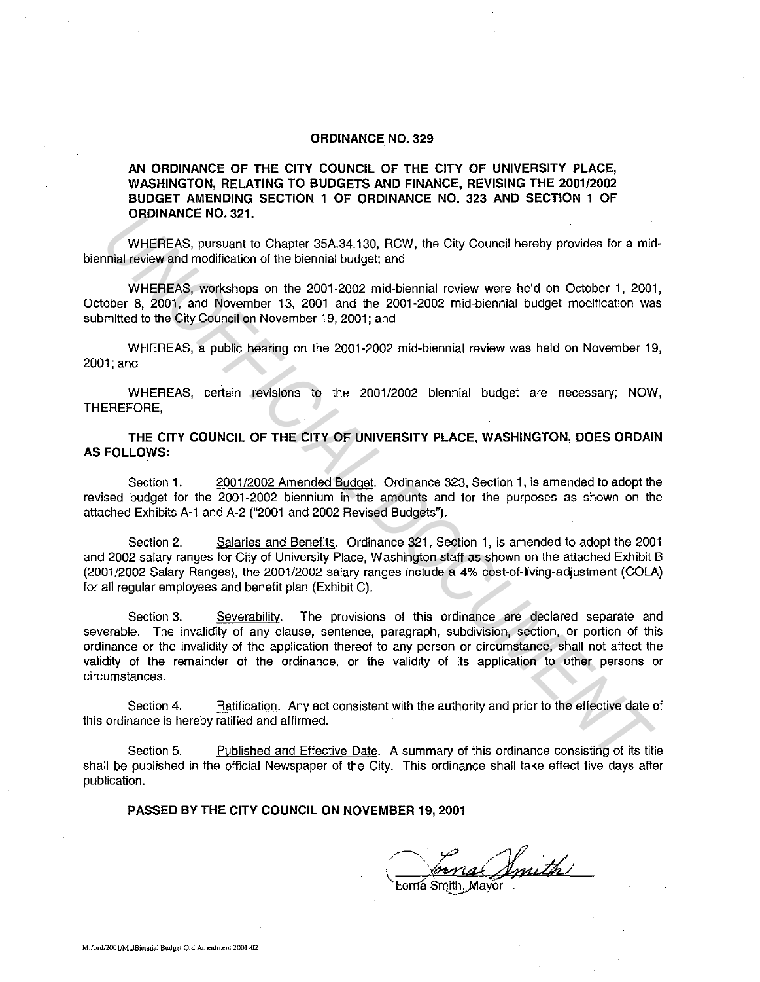### **ORDINANCE NO. 329**

### **AN ORDINANCE OF THE CITY COUNCIL OF THE CITY OF UNIVERSITY PLACE, WASHINGTON, RELATING TO BUDGETS AND FINANCE, REVISING THE 2001/2002 BUDGET AMENDING SECTION 1 OF ORDINANCE NO. 323 AND SECTION 1 OF ORDINANCE NO. 321.**

WHEREAS, pursuant to Chapter 35A.34.130, RCW, the City Council hereby provides for a midbiennial review and modification of the biennial budget; and

WHEREAS, workshops on the 2001-2002 mid-biennial review were held on October 1, 2001, October 8, 2001, and November 13, 2001 and the 2001-2002 mid-biennial budget modification was submitted to the City Council on November 19, 2001; and

WHEREAS, a public hearing on the 2001-2002 mid-biennial review was held on November 19, 2001;and

WHEREAS, certain revisions to the 2001/2002 biennial budget are necessary; NOW, THEREFORE,

**THE CITY COUNCIL OF THE CITY OF UNIVERSITY PLACE, WASHINGTON, DOES ORDAIN AS FOLLOWS:** 

Section **1.** 2001/2002 Amended Budget. Ordinance 323, Section 1, is amended to adopt the revised budget for the 2001-2002 biennium in the amounts and for the purposes as shown on the attached Exhibits A-1 and A-2 ("2001 and 2002 Revised Budgets").

Section 2. Salaries and Benefits. Ordinance 321, Section 1, is amended to adopt the 2001 and 2002 salary ranges for City of University Place, Washington staff as shown on the attached Exhibit B (2001/2002 Salary Ranges), the 2001/2002 salary ranges include a 4% cost-of-living-adjustment (COLA) for all regular employees and benefit plan (Exhibit C).

Section 3. Severability. The provisions of this ordinance are declared separate and severable. The invalidity of any clause, sentence, paragraph, subdivision, section, or portion of this ordinance or the invalidity of the application thereof to any person or circumstance, shall not affect the validity of the remainder of the ordinance, or the validity of its application to other persons or circumstances. **UNDINANCE NO. 321.**<br>
WHEREAS, prospect to Chapler 35A.34.130, RCW, the City Council hereby provides for a minimist review and modification of the biennial budget; and<br>
WHEREAS, workshops on the 2001-2002 mid-biennial trav

Section 4. Ratification. Any act consistent with the authority and prior to the effective date of this ordinance is hereby ratified and affirmed.

Section 5. Published and Effective Date. A summary of this ordinance consisting of its title shall be published in the official Newspaper of the City. This ordinance shall take effect five days after publication.

**PASSED BY THE CITY COUNCIL ON NOVEMBER 19, 2001** 

Smith

Lorna Smith, Mayor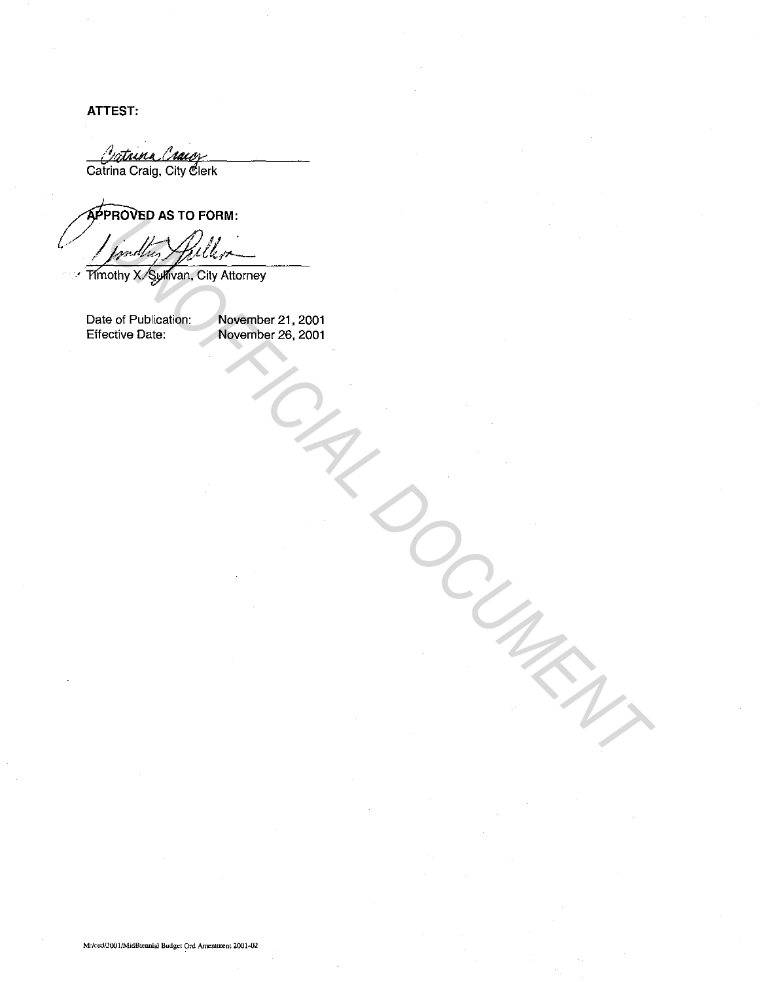**ATTEST:** 

*<u>Cathura Chacoy</u>*<br>Catrina Craig, City Clerk

Procedury Apuller And Charles Contents.<br>
University Regulation: City Attorney<br>
o of Publication: November 21, 2001<br>
Content Date: November 26, 2001

Date of Publication: Effective Date:

November 21, 2001 November 26, 2001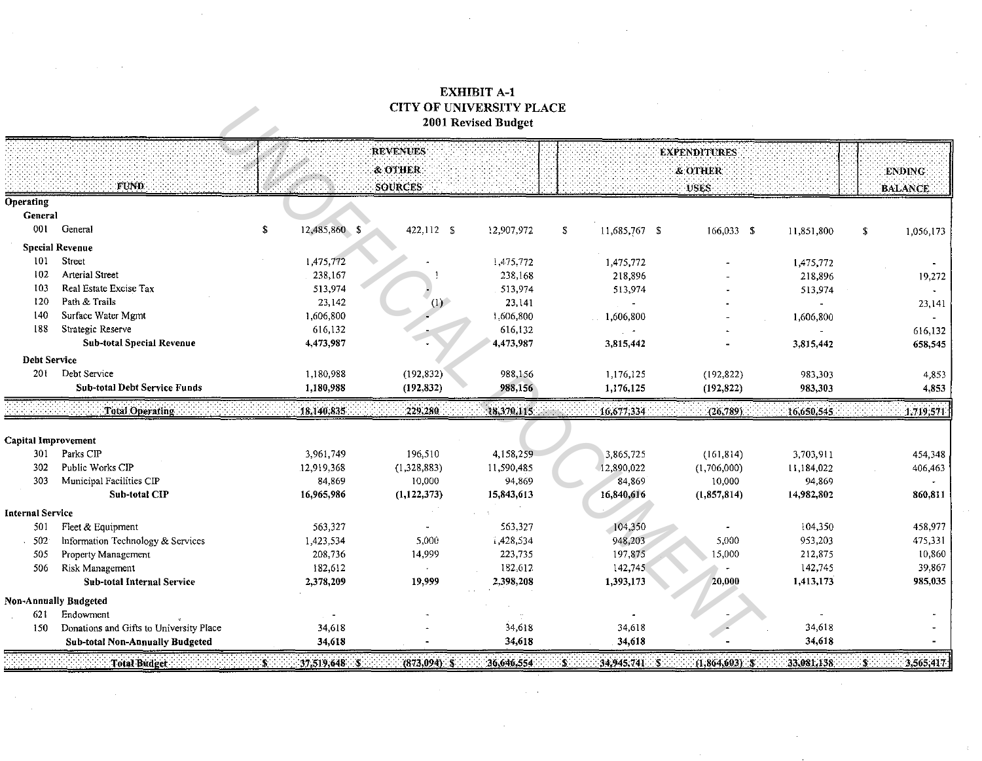# **EXHIBIT A-1 CITY OF UNIVERSITY PLACE** 2001 Revised Budget

 $\sim$ 

|                            |                                         | <b>REVENUES</b>     |                  |              | <b>EXPENDITURES</b>               |                    |            |                           |
|----------------------------|-----------------------------------------|---------------------|------------------|--------------|-----------------------------------|--------------------|------------|---------------------------|
|                            |                                         |                     | & OTHER:         |              |                                   | & OTHER            |            | ENDING:                   |
|                            | FUND.                                   |                     | <b>SOURCES</b>   |              |                                   | USES.              |            | <b>BALANCE</b>            |
| <b>Operating</b>           |                                         |                     |                  |              |                                   |                    |            |                           |
| General                    |                                         |                     |                  |              |                                   |                    |            |                           |
| 001                        | General                                 | \$<br>12,485,860 \$ | 422,112 \$       | 12,907,972   | $\ddot{\bullet}$<br>11,685,767 \$ | 166,033 \$         | 11,851,800 | \$<br>1,056,173           |
|                            | <b>Special Revenue</b>                  |                     |                  |              |                                   |                    |            |                           |
| 101                        | Street                                  | 1,475,772           |                  | 1,475,772    | 1,475,772                         |                    | 1,475,772  |                           |
| 102                        | <b>Arterial Street</b>                  | 238,167             |                  | 238,168      | 218,896                           |                    | 218,896    | 19,272                    |
| 103                        | Real Estate Excise Tax                  | 513,974             |                  | 513,974      | 513,974                           |                    | 513,974    |                           |
| 120                        | Path & Trails                           | 23,142              | (1)              | 23,141       | $\sim$                            |                    |            | 23,141                    |
| 140                        | Surface Water Mgmt                      | 1,606,800           |                  | 1,606,800    | 1,606,800                         |                    | 1,606,800  |                           |
| 188                        | Strategic Reserve                       | 616,132             |                  | 616,132      |                                   |                    |            | 616,132                   |
|                            | <b>Sub-total Special Revenue</b>        | 4,473,987           |                  | 4,473,987    | 3,815,442                         |                    | 3,815,442  | 658,545                   |
| <b>Debt Service</b>        |                                         |                     |                  |              |                                   |                    |            |                           |
| 201                        | Debt Service                            | 1,180,988           | (192, 832)       | 988,156      | 1,176,125                         | (192, 822)         | 983,303    | 4,853                     |
|                            | <b>Sub-total Debt Service Funds</b>     | 1,180,988           | (192, 832)       | 988,156      | 1,176,125                         | (192, 822)         | 983,303    | 4,853                     |
|                            | Total Operating                         | 18,140,835          | 229,280          | (18,370,115) | 16,677,334                        | (26.789)           | 16,650,545 | 1,719,571                 |
| <b>Capital Improvement</b> |                                         |                     |                  |              |                                   |                    |            |                           |
| 301                        | Parks CIP                               | 3,961,749           | 196,510          | 4,158,259    | 3,865,725                         | (161, 814)         | 3,703,911  | 454,348                   |
| 302                        | Public Works CIP                        | 12,919,368          | (1,328,883)      | 11,590,485   | 12,890,022                        | (1,706,000)        | 11,184,022 | 406,463                   |
| 303                        | Municipal Facilities CIP                | 84,869              | 10,000           | 94,869       | 84,869                            | 10,000             | 94,869     |                           |
|                            | Sub-total CIP                           | 16,965,986          | (1, 122, 373)    | 15,843,613   | 16,840,616                        | (1,857,814)        | 14,982,802 | 860,811                   |
| <b>Internal Service</b>    |                                         |                     |                  |              |                                   |                    |            |                           |
| 501                        | Fleet & Equipment                       | 563,327             |                  | 563,327      | 104,350                           |                    | 104,350    | 458,977                   |
| 502                        | Information Technology & Services       | 1,423,534           | 5,000            | 1,428,534    | 948,203                           | 5,000              | 953,203    | 475,331                   |
| 505                        | Property Management                     | 208,736             | 14,999           | 223,735      | 197,875                           | 15,000             | 212,875    | 10,860                    |
| 506                        | Risk Management                         | 182,612             | $\mathbf{r}$     | 182,612      | 142,745                           |                    | 142,745    | 39,867                    |
|                            | <b>Sub-total Internal Service</b>       | 2,378,209           | 19,999           | 2,398,208    | 1,393,173                         | 20,000             | 1,413,173  | 985,035                   |
|                            | <b>Non-Annually Budgeted</b>            |                     |                  |              |                                   |                    |            |                           |
| 621                        | Endowment                               |                     |                  |              |                                   |                    |            |                           |
| 150                        | Donations and Gifts to University Place | 34,618              |                  | 34,618       | 34,618                            |                    | 34,618     |                           |
|                            | <b>Sub-total Non-Annually Budgeted</b>  | 34,618              |                  | 34,618       | 34,618                            |                    | 34,618     |                           |
|                            | Total Budget                            | $S$ .<br>37,519,648 | $(873,094)$ $-8$ | 36,646,554   | ۰S۰<br>$-34.945,7415$             | $(1,864,603)$ . \$ | 33,081,138 | $\mathbf{S}$<br>3,565,417 |

 $\omega = \omega$ 

 $\sim$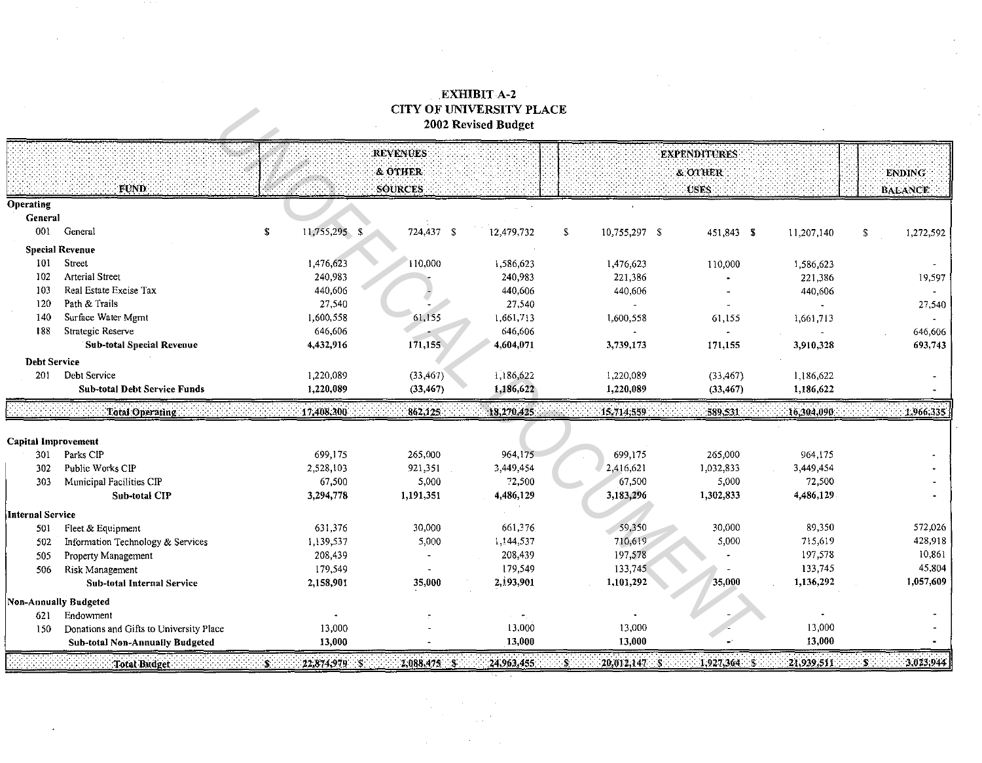## **EXHIBIT A-2 CITY OF UNIVERSITY PLACE** 2002 Revised Budget

 $\mathcal{L}$ 

 $\sim 1000$ 

|                            |                                         |                                    | <b>REVENUES</b> |             |                          | <b>EXPENDITURES</b>      |             |                  |
|----------------------------|-----------------------------------------|------------------------------------|-----------------|-------------|--------------------------|--------------------------|-------------|------------------|
|                            |                                         |                                    | & OTHER         |             |                          | & OTHER                  |             | <b>ENDING</b>    |
|                            | FUND.                                   |                                    | SOURCES         |             |                          | USES:                    |             | <b>BALANCE</b>   |
| <b>Operating</b>           |                                         |                                    |                 |             |                          |                          |             |                  |
| General                    |                                         |                                    |                 |             |                          |                          |             |                  |
| 001                        | General                                 | 11,755,295 \$<br>$\mathbf s$       | 724,437 \$      | 12,479,732  | S.<br>10,755,297 \$      | 451,843 \$               | 11,207,140  | \$<br>1,272,592  |
|                            | <b>Special Revenue</b>                  |                                    |                 |             |                          |                          |             |                  |
| 101                        | Street                                  | 1,476,623                          | 110,000         | 1,586,623   | 1,476,623                | 110,000                  | 1,586,623   |                  |
| 102                        | <b>Arterial Street</b>                  | 240,983                            |                 | 240,983     | 221,386                  |                          | 221,386     | 19,597           |
| 103                        | Real Estate Excise Tax                  | 440,606                            |                 | 440.606     | 440,606                  |                          | 440,606     |                  |
| 120                        | Path & Trails                           | 27,540                             |                 | 27,540      |                          | $\overline{\phantom{a}}$ |             | 27,540           |
| 140                        | Surface Water Mgmt                      | 1,600,558                          | 61,155          | 1,661,713   | 1,600,558                | 61,155                   | 1,661,713   |                  |
| 188                        | Strategic Reserve                       | 646,606                            |                 | 646,606     |                          |                          |             | 646,606          |
|                            | <b>Sub-total Special Revenue</b>        | 4,432,916                          | 171,155         | 4,604,071   | 3,739,173                | 171,155                  | 3,910,328   | 693,743          |
| <b>Debt Service</b>        |                                         |                                    |                 |             |                          |                          |             |                  |
| 201                        | Debt Service                            | 1,220,089                          | (33, 467)       | 1,186,622   | 1,220,089                | (33, 467)                | 1,186,622   |                  |
|                            | <b>Sub-total Debt Service Funds</b>     | 1,220,089                          | (33, 467)       | 1,186,622   | 1,220,089                | (33, 467)                | 1,186,622   |                  |
|                            | Total Operating                         | 17,408,300                         | 862,125         | 18.270.425  | 15,714,559               | 589.531                  | 16,304,090. | 1,966,335        |
| <b>Capital Improvement</b> |                                         |                                    |                 |             |                          |                          |             |                  |
| 301                        | Parks CIP                               | 699,175                            | 265,000         | 964,175     | 699,175                  | 265,000                  | 964,175     |                  |
| 302                        | Public Works CIP                        | 2,528,103                          | 921,351         | 3,449,454   | 2,416,621                | 1,032,833                | 3,449,454   |                  |
| 303                        | Municipal Facilities CIP                | 67,500                             | 5,000           | 72,500      | 67,500                   | 5,000                    | 72,500      |                  |
|                            | <b>Sub-total CIP</b>                    | 3,294,778                          | 1,191,351       | 4,486,129   | 3,183,296                | 1,302,833                | 4,486,129   |                  |
| <b>Internal Service</b>    |                                         |                                    |                 |             |                          |                          |             |                  |
| 501                        | Fleet & Equipment                       | 631,376                            | 30,000          | 661,376     | 59,350                   | 30,000                   | 89,350      | 572,026          |
| 502                        | Information Technology & Services       | 1,139,537                          | 5,000           | 1,144,537   | 710,619                  | 5,000                    | 715,619     | 428,918          |
| 505                        | Property Management                     | 208,439                            |                 | 208,439     | 197,578                  |                          | 197,578     | 10,861           |
| 506                        | Risk Management                         | 179,549                            |                 | 179,549     | 133,745                  |                          | 133,745     | 45,804           |
|                            | Sub-total Internal Service              | 2,158,901                          | 35,000          | 2,193,901   | 1,101,292                | 35,000                   | 1,136,292   | 1,057,609        |
|                            | <b>Non-Annually Budgeted</b>            |                                    |                 |             |                          |                          |             |                  |
| 621                        | Endowment                               |                                    |                 |             |                          |                          |             |                  |
| 150                        | Donations and Gifts to University Place | 13,000                             |                 | 13,000      | 13,000                   |                          | 13,000      |                  |
|                            | <b>Sub-total Non-Annually Budgeted</b>  | 13,000                             |                 | 13,000      | 13,000                   |                          | 13,000      |                  |
|                            | Total Budget                            | $-22,874,979$ $-5$<br>$\mathbf{S}$ | 2,088,475       | 24,963,455. | $-20, 012, 147.$ S<br>S. | $1,927,364$ $5$          | 21,939,511  | 3,023,944<br>-5. |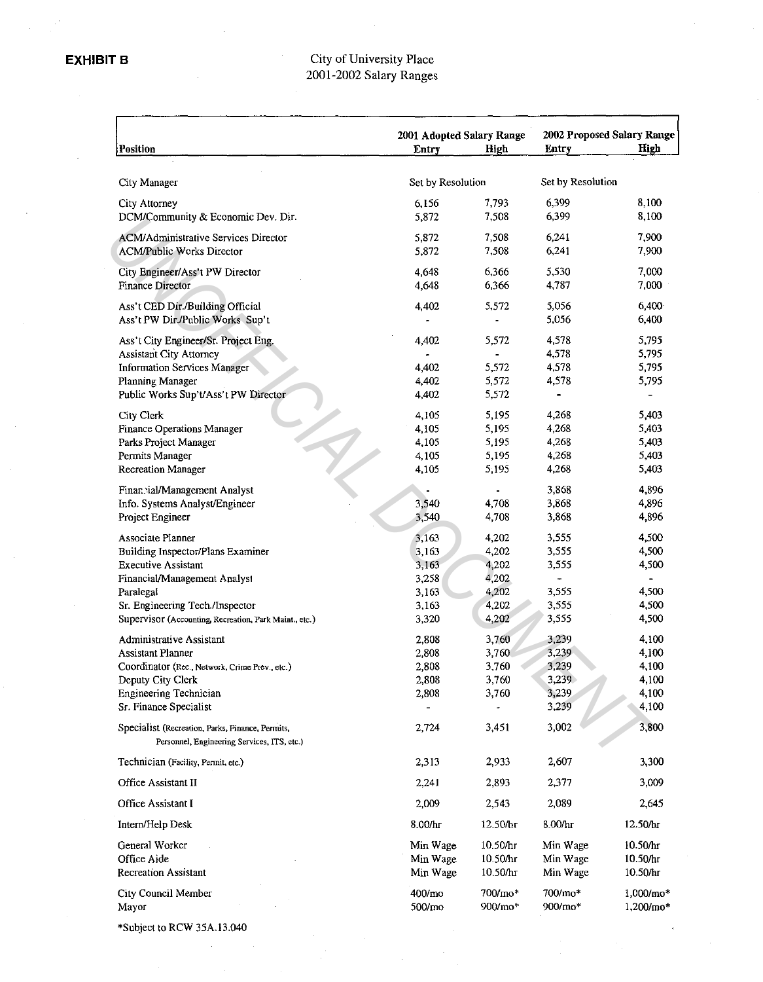### City of University Place 2001-2002 Salary Ranges

| Position                                                                                        | 2001 Adopted Salary Range<br>Entry | High     | 2002 Proposed Salary Range<br>High<br><b>Entry</b> |                          |
|-------------------------------------------------------------------------------------------------|------------------------------------|----------|----------------------------------------------------|--------------------------|
| City Manager                                                                                    | Set by Resolution                  |          | Set by Resolution                                  |                          |
| City Attorney                                                                                   | 6,156                              | 7,793    | 6,399                                              | 8,100                    |
| DCM/Community & Economic Dev. Dir.                                                              | 5,872                              | 7,508    | 6,399                                              | 8,100                    |
| <b>ACM/Administrative Services Director</b>                                                     | 5,872                              | 7,508    | 6,241                                              | 7,900                    |
| <b>ACM/Public Works Director</b>                                                                | 5,872                              | 7,508    | 6,241                                              | 7,900                    |
| City Engineer/Ass't PW Director                                                                 | 4,648                              | 6,366    | 5,530                                              | 7,000                    |
| <b>Finance Director</b>                                                                         | 4,648                              | 6,366    | 4,787                                              | 7,000                    |
| Ass't CED Dir./Building Official                                                                | 4.402                              | 5,572    | 5,056                                              | 6,400                    |
| Ass't PW Dir./Public Works Sup't                                                                |                                    |          | 5,056                                              | 6,400                    |
| Ass't City Engineer/Sr. Project Eng.                                                            | 4,402                              | 5,572    | 4,578                                              | 5,795                    |
| <b>Assistant City Attorney</b>                                                                  |                                    |          | 4,578                                              | 5,795                    |
| Information Services Manager                                                                    | 4,402                              | 5,572    | 4,578                                              | 5,795                    |
| Planning Manager                                                                                | 4,402                              | 5,572    | 4,578                                              | 5,795                    |
| Public Works Sup't/Ass't PW Director                                                            | 4,402                              | 5,572    |                                                    |                          |
| City Clerk                                                                                      | 4,105                              | 5,195    | 4,268                                              | 5,403                    |
| <b>Finance Operations Manager</b>                                                               | 4,105                              | 5,195    | 4,268                                              | 5,403                    |
| Parks Project Manager                                                                           | 4,105                              | 5,195    | 4,268                                              | 5,403                    |
| Permits Manager                                                                                 | 4,105                              | 5,195    | 4,268                                              | 5,403                    |
| <b>Recreation Manager</b>                                                                       | 4,105                              | 5,195    | 4,268                                              | 5,403                    |
| Finannial/Management Analyst                                                                    |                                    |          | 3,868                                              | 4,896                    |
| Info. Systems Analyst/Engineer                                                                  | 3,540                              | 4,708    | 3,868                                              | 4,896                    |
| Project Engineer                                                                                | 3,540                              | 4,708    | 3,868                                              | 4,896                    |
| Associate Planner                                                                               | 3,163                              | 4,202    | 3,555                                              | 4,500                    |
| Building Inspector/Plans Examiner                                                               | 3,163                              | 4,202    | 3,555                                              | 4,500                    |
| <b>Executive Assistant</b>                                                                      | 3,163                              | 4,202    | 3,555                                              | 4,500                    |
| Financial/Management Analysi                                                                    | 3,258                              | 4,202    | ÷                                                  | $\overline{\phantom{0}}$ |
| Paralegal                                                                                       | 3,163                              | 4,202    | 3,555                                              | 4,500                    |
| Sr. Engineering Tech./Inspector                                                                 | 3,163                              | 4,202    | 3,555                                              | 4,500                    |
| Supervisor (Accounting, Recreation, Park Maint., etc.)                                          | 3,320                              | 4,202    | 3,555                                              | 4,500                    |
| Administrative Assistant                                                                        | 2,808                              | 3,760    | 3,239                                              | 4,100                    |
| <b>Assistant Planner</b>                                                                        | 2,808                              | 3,760    | 3,239                                              | 4,100                    |
| Coordinator (Rec., Network, Crime Prev., etc.)                                                  | 2,808                              | 3,760    | 3,239                                              | 4,100                    |
| Deputy City Clerk                                                                               | 2,808                              | 3,760    | 3,239                                              | 4,100                    |
| Engineering Technician                                                                          | 2,808                              | 3,760    | 3,239                                              | 4,100                    |
| Sr. Finance Specialist                                                                          |                                    |          | 3,239                                              | 4,100                    |
| Specialist (Recreation, Parks, Finance, Permits,<br>Personnel, Engineering Services, ITS, etc.) | 2,724                              | 3,451    | 3,002                                              | 3,800                    |
| Technician (Facility, Permit, etc.)                                                             | 2.313                              | 2,933    | 2,607                                              | 3,300                    |
| Office Assistant II                                                                             | 2,241                              | 2,893    | 2,377                                              | 3,009                    |
| Office Assistant I                                                                              | 2,009                              | 2,543    | 2,089                                              | 2,645                    |
| Intern/Help Desk                                                                                | 8.00/hr                            | 12.50/hr | 8.00/hr                                            | 12.50/hr                 |
| General Worker                                                                                  | Min Wage                           | 10.50/hr | Min Wage                                           | 10.50/hr                 |
| Office Aide                                                                                     | Min Wage                           | 10.50/hr | Min Wage                                           | 10.50/hr                 |
| <b>Recreation Assistant</b>                                                                     | Min Wage                           | 10.50/hr | Min Wage                                           | 10.50/hr                 |
| City Council Member                                                                             | 400/mo                             | 700/mo*  | 700/mo*                                            | $1,000/mo*$              |
| Mayor                                                                                           | 500/mo                             | 900/mo*  | 900/mo*                                            | 1,200/mo*                |
| *Subject to RCW 35A.13.040                                                                      |                                    |          |                                                    |                          |
|                                                                                                 |                                    |          |                                                    |                          |